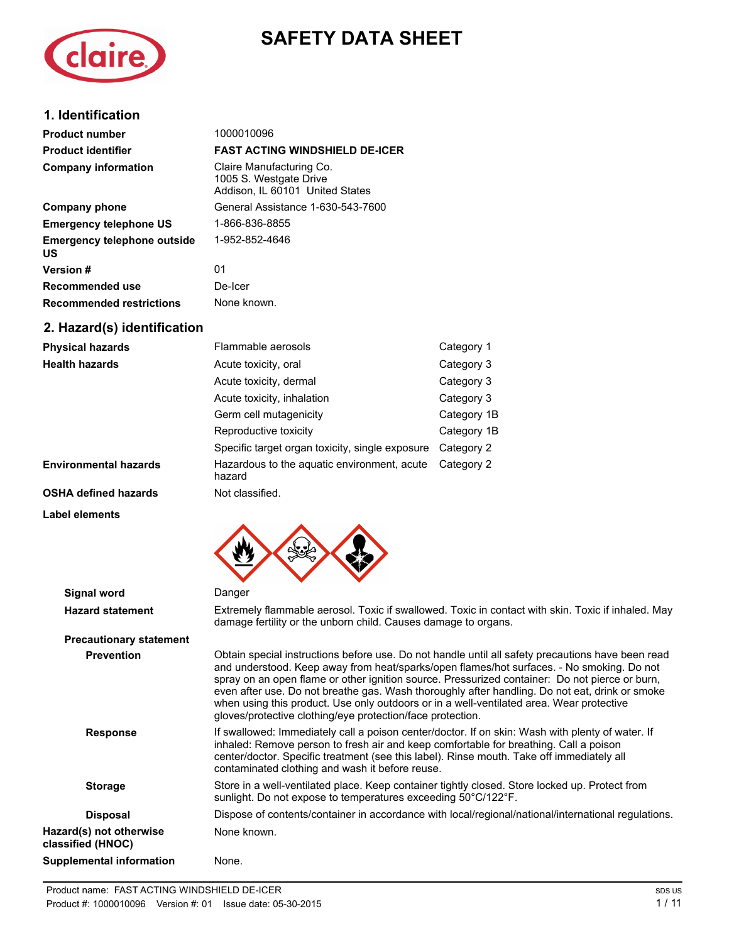# **SAFETY DATA SHEET**



## **1. Identification**

| <b>Product number</b>                           | 1000010096                                                                            |            |
|-------------------------------------------------|---------------------------------------------------------------------------------------|------------|
| <b>Product identifier</b>                       | <b>FAST ACTING WINDSHIELD DE-ICER</b>                                                 |            |
| <b>Company information</b>                      | Claire Manufacturing Co.<br>1005 S. Westgate Drive<br>Addison, IL 60101 United States |            |
| Company phone                                   | General Assistance 1-630-543-7600                                                     |            |
| <b>Emergency telephone US</b>                   | 1-866-836-8855                                                                        |            |
| <b>Emergency telephone outside</b><br><b>US</b> | 1-952-852-4646                                                                        |            |
| Version #                                       | 01                                                                                    |            |
| Recommended use                                 | De-Icer                                                                               |            |
| <b>Recommended restrictions</b>                 | None known.                                                                           |            |
| 2. Hazard(s) identification                     |                                                                                       |            |
| <b>Physical hazards</b>                         | Flammable aerosols                                                                    | Category 1 |
| <b>Health hazards</b>                           | Acute toxicity, oral                                                                  | Category 3 |
|                                                 | Acute toxicity, dermal                                                                | Category 3 |

|                              | Acute toxicity, dermal                                | Category 3  |
|------------------------------|-------------------------------------------------------|-------------|
|                              | Acute toxicity, inhalation                            | Category 3  |
|                              | Germ cell mutagenicity                                | Category 1B |
|                              | Reproductive toxicity                                 | Category 1B |
|                              | Specific target organ toxicity, single exposure       | Category 2  |
| <b>Environmental hazards</b> | Hazardous to the aquatic environment, acute<br>hazard | Category 2  |
| <b>OSHA defined hazards</b>  | Not classified.                                       |             |

**Label elements**



| Signal word                                  | Danger                                                                                                                                                                                                                                                                                                                                                                                                                                                                                                                                                       |
|----------------------------------------------|--------------------------------------------------------------------------------------------------------------------------------------------------------------------------------------------------------------------------------------------------------------------------------------------------------------------------------------------------------------------------------------------------------------------------------------------------------------------------------------------------------------------------------------------------------------|
|                                              |                                                                                                                                                                                                                                                                                                                                                                                                                                                                                                                                                              |
| <b>Hazard statement</b>                      | Extremely flammable aerosol. Toxic if swallowed. Toxic in contact with skin. Toxic if inhaled. May<br>damage fertility or the unborn child. Causes damage to organs.                                                                                                                                                                                                                                                                                                                                                                                         |
| <b>Precautionary statement</b>               |                                                                                                                                                                                                                                                                                                                                                                                                                                                                                                                                                              |
| <b>Prevention</b>                            | Obtain special instructions before use. Do not handle until all safety precautions have been read<br>and understood. Keep away from heat/sparks/open flames/hot surfaces. - No smoking. Do not<br>spray on an open flame or other ignition source. Pressurized container: Do not pierce or burn,<br>even after use. Do not breathe gas. Wash thoroughly after handling. Do not eat, drink or smoke<br>when using this product. Use only outdoors or in a well-ventilated area. Wear protective<br>gloves/protective clothing/eye protection/face protection. |
| <b>Response</b>                              | If swallowed: Immediately call a poison center/doctor. If on skin: Wash with plenty of water. If<br>inhaled: Remove person to fresh air and keep comfortable for breathing. Call a poison<br>center/doctor. Specific treatment (see this label). Rinse mouth. Take off immediately all<br>contaminated clothing and wash it before reuse.                                                                                                                                                                                                                    |
| <b>Storage</b>                               | Store in a well-ventilated place. Keep container tightly closed. Store locked up. Protect from<br>sunlight. Do not expose to temperatures exceeding 50°C/122°F.                                                                                                                                                                                                                                                                                                                                                                                              |
| <b>Disposal</b>                              | Dispose of contents/container in accordance with local/regional/national/international regulations.                                                                                                                                                                                                                                                                                                                                                                                                                                                          |
| Hazard(s) not otherwise<br>classified (HNOC) | None known.                                                                                                                                                                                                                                                                                                                                                                                                                                                                                                                                                  |
| <b>Supplemental information</b>              | None.                                                                                                                                                                                                                                                                                                                                                                                                                                                                                                                                                        |
|                                              |                                                                                                                                                                                                                                                                                                                                                                                                                                                                                                                                                              |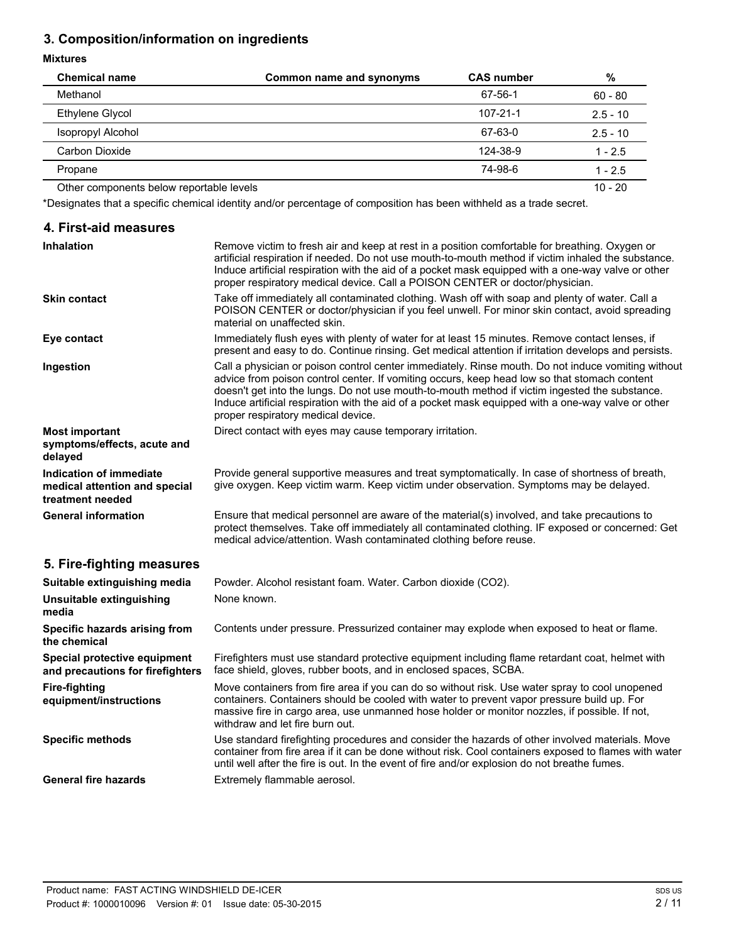## **3. Composition/information on ingredients**

## **Mixtures**

| <b>Chemical name</b>                     | Common name and synonyms | <b>CAS number</b> | %          |
|------------------------------------------|--------------------------|-------------------|------------|
| Methanol                                 |                          | 67-56-1           | $60 - 80$  |
| Ethylene Glycol                          |                          | $107 - 21 - 1$    | $2.5 - 10$ |
| <b>Isopropyl Alcohol</b>                 |                          | 67-63-0           | $2.5 - 10$ |
| Carbon Dioxide                           |                          | 124-38-9          | $1 - 2.5$  |
| Propane                                  |                          | 74-98-6           | $1 - 2.5$  |
| Other components below reportable levels |                          |                   | $10 - 20$  |

\*Designates that a specific chemical identity and/or percentage of composition has been withheld as a trade secret.

## **4. First-aid measures**

| <b>Inhalation</b>                                                            | Remove victim to fresh air and keep at rest in a position comfortable for breathing. Oxygen or<br>artificial respiration if needed. Do not use mouth-to-mouth method if victim inhaled the substance.<br>Induce artificial respiration with the aid of a pocket mask equipped with a one-way valve or other<br>proper respiratory medical device. Call a POISON CENTER or doctor/physician.                                                      |
|------------------------------------------------------------------------------|--------------------------------------------------------------------------------------------------------------------------------------------------------------------------------------------------------------------------------------------------------------------------------------------------------------------------------------------------------------------------------------------------------------------------------------------------|
| <b>Skin contact</b>                                                          | Take off immediately all contaminated clothing. Wash off with soap and plenty of water. Call a<br>POISON CENTER or doctor/physician if you feel unwell. For minor skin contact, avoid spreading<br>material on unaffected skin.                                                                                                                                                                                                                  |
| Eye contact                                                                  | Immediately flush eyes with plenty of water for at least 15 minutes. Remove contact lenses, if<br>present and easy to do. Continue rinsing. Get medical attention if irritation develops and persists.                                                                                                                                                                                                                                           |
| Ingestion                                                                    | Call a physician or poison control center immediately. Rinse mouth. Do not induce vomiting without<br>advice from poison control center. If vomiting occurs, keep head low so that stomach content<br>doesn't get into the lungs. Do not use mouth-to-mouth method if victim ingested the substance.<br>Induce artificial respiration with the aid of a pocket mask equipped with a one-way valve or other<br>proper respiratory medical device. |
| <b>Most important</b><br>symptoms/effects, acute and<br>delayed              | Direct contact with eyes may cause temporary irritation.                                                                                                                                                                                                                                                                                                                                                                                         |
| Indication of immediate<br>medical attention and special<br>treatment needed | Provide general supportive measures and treat symptomatically. In case of shortness of breath,<br>give oxygen. Keep victim warm. Keep victim under observation. Symptoms may be delayed.                                                                                                                                                                                                                                                         |
| <b>General information</b>                                                   | Ensure that medical personnel are aware of the material(s) involved, and take precautions to<br>protect themselves. Take off immediately all contaminated clothing. IF exposed or concerned: Get<br>medical advice/attention. Wash contaminated clothing before reuse.                                                                                                                                                                           |
| 5. Fire-fighting measures                                                    |                                                                                                                                                                                                                                                                                                                                                                                                                                                  |
| Suitable extinguishing media                                                 | Powder. Alcohol resistant foam. Water. Carbon dioxide (CO2).                                                                                                                                                                                                                                                                                                                                                                                     |
| Unsuitable extinguishing                                                     | None known.                                                                                                                                                                                                                                                                                                                                                                                                                                      |

| Sultable extinguishing media                                     | Powder. Alconol resistant ioam. Water. Carbon dioxide (CO2).                                                                                                                                                                                                                                                                     |
|------------------------------------------------------------------|----------------------------------------------------------------------------------------------------------------------------------------------------------------------------------------------------------------------------------------------------------------------------------------------------------------------------------|
| Unsuitable extinguishing<br>media                                | None known.                                                                                                                                                                                                                                                                                                                      |
| Specific hazards arising from<br>the chemical                    | Contents under pressure. Pressurized container may explode when exposed to heat or flame.                                                                                                                                                                                                                                        |
| Special protective equipment<br>and precautions for firefighters | Firefighters must use standard protective equipment including flame retardant coat, helmet with<br>face shield, gloves, rubber boots, and in enclosed spaces, SCBA.                                                                                                                                                              |
| Fire-fighting<br>equipment/instructions                          | Move containers from fire area if you can do so without risk. Use water spray to cool unopened<br>containers. Containers should be cooled with water to prevent vapor pressure build up. For<br>massive fire in cargo area, use unmanned hose holder or monitor nozzles, if possible. If not,<br>withdraw and let fire burn out. |
| <b>Specific methods</b>                                          | Use standard firefighting procedures and consider the hazards of other involved materials. Move<br>container from fire area if it can be done without risk. Cool containers exposed to flames with water<br>until well after the fire is out. In the event of fire and/or explosion do not breathe fumes.                        |
| <b>General fire hazards</b>                                      | Extremely flammable aerosol.                                                                                                                                                                                                                                                                                                     |
|                                                                  |                                                                                                                                                                                                                                                                                                                                  |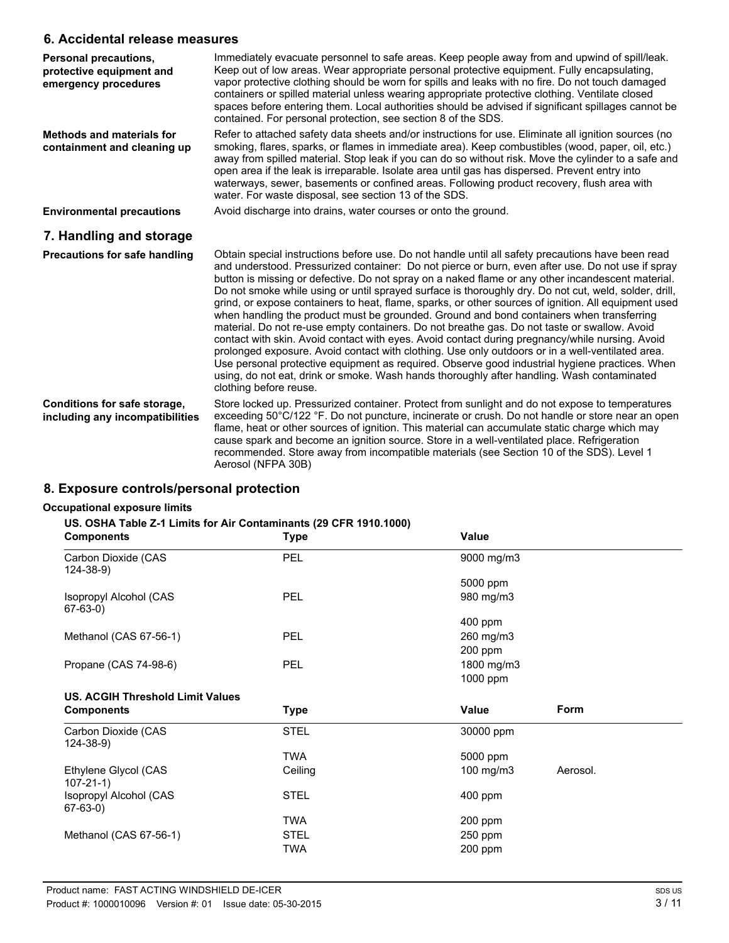## **6. Accidental release measures**

| Personal precautions,<br>protective equipment and<br>emergency procedures | Immediately evacuate personnel to safe areas. Keep people away from and upwind of spill/leak.<br>Keep out of low areas. Wear appropriate personal protective equipment. Fully encapsulating,<br>vapor protective clothing should be worn for spills and leaks with no fire. Do not touch damaged<br>containers or spilled material unless wearing appropriate protective clothing. Ventilate closed<br>spaces before entering them. Local authorities should be advised if significant spillages cannot be<br>contained. For personal protection, see section 8 of the SDS.                                                                                                                                                                                                                                                                                                                                                                                                                                                                                                                                                                               |
|---------------------------------------------------------------------------|-----------------------------------------------------------------------------------------------------------------------------------------------------------------------------------------------------------------------------------------------------------------------------------------------------------------------------------------------------------------------------------------------------------------------------------------------------------------------------------------------------------------------------------------------------------------------------------------------------------------------------------------------------------------------------------------------------------------------------------------------------------------------------------------------------------------------------------------------------------------------------------------------------------------------------------------------------------------------------------------------------------------------------------------------------------------------------------------------------------------------------------------------------------|
| <b>Methods and materials for</b><br>containment and cleaning up           | Refer to attached safety data sheets and/or instructions for use. Eliminate all ignition sources (no<br>smoking, flares, sparks, or flames in immediate area). Keep combustibles (wood, paper, oil, etc.)<br>away from spilled material. Stop leak if you can do so without risk. Move the cylinder to a safe and<br>open area if the leak is irreparable. Isolate area until gas has dispersed. Prevent entry into<br>waterways, sewer, basements or confined areas. Following product recovery, flush area with<br>water. For waste disposal, see section 13 of the SDS.                                                                                                                                                                                                                                                                                                                                                                                                                                                                                                                                                                                |
| <b>Environmental precautions</b>                                          | Avoid discharge into drains, water courses or onto the ground.                                                                                                                                                                                                                                                                                                                                                                                                                                                                                                                                                                                                                                                                                                                                                                                                                                                                                                                                                                                                                                                                                            |
| 7. Handling and storage                                                   |                                                                                                                                                                                                                                                                                                                                                                                                                                                                                                                                                                                                                                                                                                                                                                                                                                                                                                                                                                                                                                                                                                                                                           |
| <b>Precautions for safe handling</b>                                      | Obtain special instructions before use. Do not handle until all safety precautions have been read<br>and understood. Pressurized container: Do not pierce or burn, even after use. Do not use if spray<br>button is missing or defective. Do not spray on a naked flame or any other incandescent material.<br>Do not smoke while using or until sprayed surface is thoroughly dry. Do not cut, weld, solder, drill,<br>grind, or expose containers to heat, flame, sparks, or other sources of ignition. All equipment used<br>when handling the product must be grounded. Ground and bond containers when transferring<br>material. Do not re-use empty containers. Do not breathe gas. Do not taste or swallow. Avoid<br>contact with skin. Avoid contact with eyes. Avoid contact during pregnancy/while nursing. Avoid<br>prolonged exposure. Avoid contact with clothing. Use only outdoors or in a well-ventilated area.<br>Use personal protective equipment as required. Observe good industrial hygiene practices. When<br>using, do not eat, drink or smoke. Wash hands thoroughly after handling. Wash contaminated<br>clothing before reuse. |
| Conditions for safe storage,<br>including any incompatibilities           | Store locked up. Pressurized container. Protect from sunlight and do not expose to temperatures<br>exceeding 50°C/122 °F. Do not puncture, incinerate or crush. Do not handle or store near an open<br>flame, heat or other sources of ignition. This material can accumulate static charge which may<br>cause spark and become an ignition source. Store in a well-ventilated place. Refrigeration<br>recommended. Store away from incompatible materials (see Section 10 of the SDS). Level 1<br>Aerosol (NFPA 30B)                                                                                                                                                                                                                                                                                                                                                                                                                                                                                                                                                                                                                                     |

## **8. Exposure controls/personal protection**

## **Occupational exposure limits**

### **US. OSHA Table Z-1 Limits for Air Contaminants (29 CFR 1910.1000)**

| <b>Components</b>                        | <b>Type</b> | Value      |          |
|------------------------------------------|-------------|------------|----------|
| Carbon Dioxide (CAS<br>124-38-9)         | <b>PEL</b>  | 9000 mg/m3 |          |
|                                          |             | 5000 ppm   |          |
| Isopropyl Alcohol (CAS<br>$67-63-0)$     | <b>PEL</b>  | 980 mg/m3  |          |
|                                          |             | 400 ppm    |          |
| Methanol (CAS 67-56-1)                   | PEL         | 260 mg/m3  |          |
|                                          |             | 200 ppm    |          |
| Propane (CAS 74-98-6)                    | PEL         | 1800 mg/m3 |          |
|                                          |             | 1000 ppm   |          |
| <b>US. ACGIH Threshold Limit Values</b>  |             |            |          |
| <b>Components</b>                        | Type        | Value      | Form     |
| Carbon Dioxide (CAS                      | <b>STEL</b> | 30000 ppm  |          |
| $124 - 38 - 9$                           |             |            |          |
|                                          | TWA         | 5000 ppm   |          |
| Ethylene Glycol (CAS                     | Ceiling     | 100 mg/m3  | Aerosol. |
| $107 - 21 - 1$<br>Isopropyl Alcohol (CAS | <b>STEL</b> | 400 ppm    |          |
| $67-63-0)$                               | <b>TWA</b>  | 200 ppm    |          |
| Methanol (CAS 67-56-1)                   | <b>STEL</b> | 250 ppm    |          |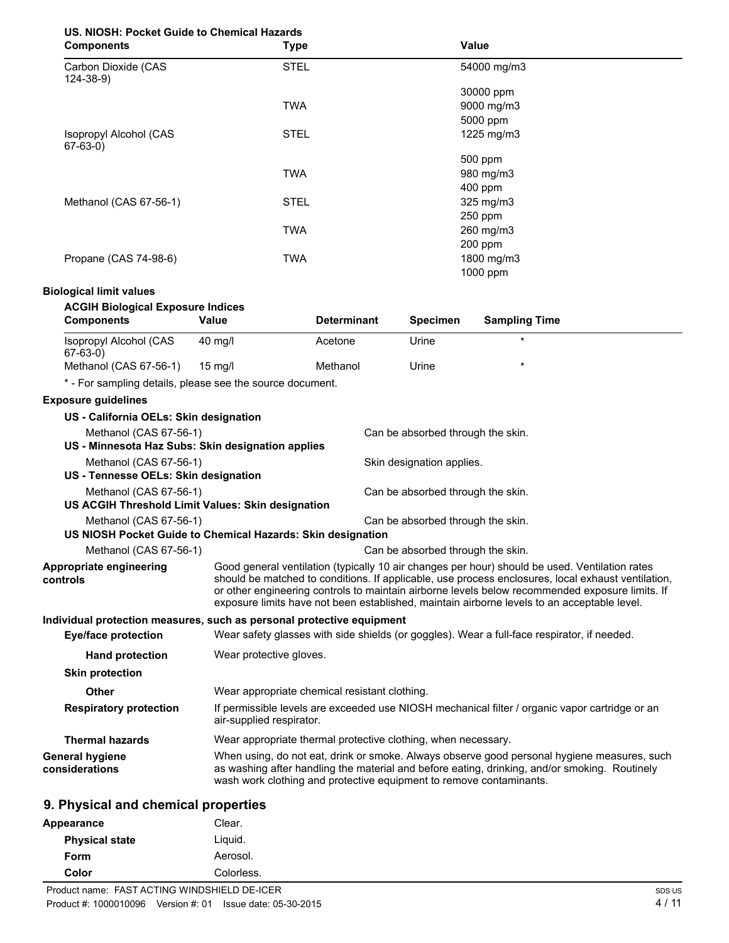## **US. NIOSH: Pocket Guide to Chemical Hazards**

| <b>Components</b>                     | <b>Type</b> | Value       |  |
|---------------------------------------|-------------|-------------|--|
| Carbon Dioxide (CAS<br>$124 - 38 - 9$ | <b>STEL</b> | 54000 mg/m3 |  |
|                                       |             | 30000 ppm   |  |
|                                       | <b>TWA</b>  | 9000 mg/m3  |  |
|                                       |             | 5000 ppm    |  |
| Isopropyl Alcohol (CAS<br>$67-63-0)$  | <b>STEL</b> | 1225 mg/m3  |  |
|                                       |             | 500 ppm     |  |
|                                       | <b>TWA</b>  | 980 mg/m3   |  |
|                                       |             | 400 ppm     |  |
| Methanol (CAS 67-56-1)                | <b>STEL</b> | 325 mg/m3   |  |
|                                       |             | 250 ppm     |  |
|                                       | <b>TWA</b>  | 260 mg/m3   |  |
|                                       |             | 200 ppm     |  |
| Propane (CAS 74-98-6)                 | <b>TWA</b>  | 1800 mg/m3  |  |
|                                       |             | 1000 ppm    |  |

## **Biological limit values**

## **ACGIH Biological Exposure Indices**

| <b>Components</b>                                                                           | Value                                                               | <b>Determinant</b> | <b>Specimen</b>                   | <b>Sampling Time</b>                                                                                                                                                                                                                                                                                                                                                                                   |
|---------------------------------------------------------------------------------------------|---------------------------------------------------------------------|--------------------|-----------------------------------|--------------------------------------------------------------------------------------------------------------------------------------------------------------------------------------------------------------------------------------------------------------------------------------------------------------------------------------------------------------------------------------------------------|
| Isopropyl Alcohol (CAS<br>$67-63-0)$                                                        | 40 mg/l                                                             | Acetone            | Urine                             | $\star$                                                                                                                                                                                                                                                                                                                                                                                                |
| Methanol (CAS 67-56-1)                                                                      | $15$ mg/l                                                           | Methanol           | Urine                             |                                                                                                                                                                                                                                                                                                                                                                                                        |
| * - For sampling details, please see the source document.                                   |                                                                     |                    |                                   |                                                                                                                                                                                                                                                                                                                                                                                                        |
| <b>Exposure guidelines</b>                                                                  |                                                                     |                    |                                   |                                                                                                                                                                                                                                                                                                                                                                                                        |
| US - California OELs: Skin designation                                                      |                                                                     |                    |                                   |                                                                                                                                                                                                                                                                                                                                                                                                        |
| Methanol (CAS 67-56-1)                                                                      |                                                                     |                    | Can be absorbed through the skin. |                                                                                                                                                                                                                                                                                                                                                                                                        |
| US - Minnesota Haz Subs: Skin designation applies                                           |                                                                     |                    |                                   |                                                                                                                                                                                                                                                                                                                                                                                                        |
| Methanol (CAS 67-56-1)<br>Skin designation applies.<br>US - Tennesse OELs: Skin designation |                                                                     |                    |                                   |                                                                                                                                                                                                                                                                                                                                                                                                        |
| Methanol (CAS 67-56-1)                                                                      |                                                                     |                    | Can be absorbed through the skin. |                                                                                                                                                                                                                                                                                                                                                                                                        |
| US ACGIH Threshold Limit Values: Skin designation                                           |                                                                     |                    |                                   |                                                                                                                                                                                                                                                                                                                                                                                                        |
| Methanol (CAS 67-56-1)<br>US NIOSH Pocket Guide to Chemical Hazards: Skin designation       |                                                                     |                    | Can be absorbed through the skin. |                                                                                                                                                                                                                                                                                                                                                                                                        |
| Methanol (CAS 67-56-1)                                                                      |                                                                     |                    | Can be absorbed through the skin. |                                                                                                                                                                                                                                                                                                                                                                                                        |
| Appropriate engineering<br>controls                                                         |                                                                     |                    |                                   | Good general ventilation (typically 10 air changes per hour) should be used. Ventilation rates<br>should be matched to conditions. If applicable, use process enclosures, local exhaust ventilation,<br>or other engineering controls to maintain airborne levels below recommended exposure limits. If<br>exposure limits have not been established, maintain airborne levels to an acceptable level. |
| Individual protection measures, such as personal protective equipment                       |                                                                     |                    |                                   |                                                                                                                                                                                                                                                                                                                                                                                                        |
| Eye/face protection                                                                         |                                                                     |                    |                                   | Wear safety glasses with side shields (or goggles). Wear a full-face respirator, if needed.                                                                                                                                                                                                                                                                                                            |
| <b>Hand protection</b>                                                                      | Wear protective gloves.                                             |                    |                                   |                                                                                                                                                                                                                                                                                                                                                                                                        |
| <b>Skin protection</b>                                                                      |                                                                     |                    |                                   |                                                                                                                                                                                                                                                                                                                                                                                                        |
| Other                                                                                       | Wear appropriate chemical resistant clothing.                       |                    |                                   |                                                                                                                                                                                                                                                                                                                                                                                                        |
| <b>Respiratory protection</b>                                                               | air-supplied respirator.                                            |                    |                                   | If permissible levels are exceeded use NIOSH mechanical filter / organic vapor cartridge or an                                                                                                                                                                                                                                                                                                         |
| <b>Thermal hazards</b>                                                                      | Wear appropriate thermal protective clothing, when necessary.       |                    |                                   |                                                                                                                                                                                                                                                                                                                                                                                                        |
| <b>General hygiene</b><br>considerations                                                    | wash work clothing and protective equipment to remove contaminants. |                    |                                   | When using, do not eat, drink or smoke. Always observe good personal hygiene measures, such<br>as washing after handling the material and before eating, drinking, and/or smoking. Routinely                                                                                                                                                                                                           |

## **9. Physical and chemical properties**

| Appearance            | Clear.     |  |
|-----------------------|------------|--|
| <b>Physical state</b> | Liquid.    |  |
| Form                  | Aerosol.   |  |
| Color                 | Colorless. |  |
|                       |            |  |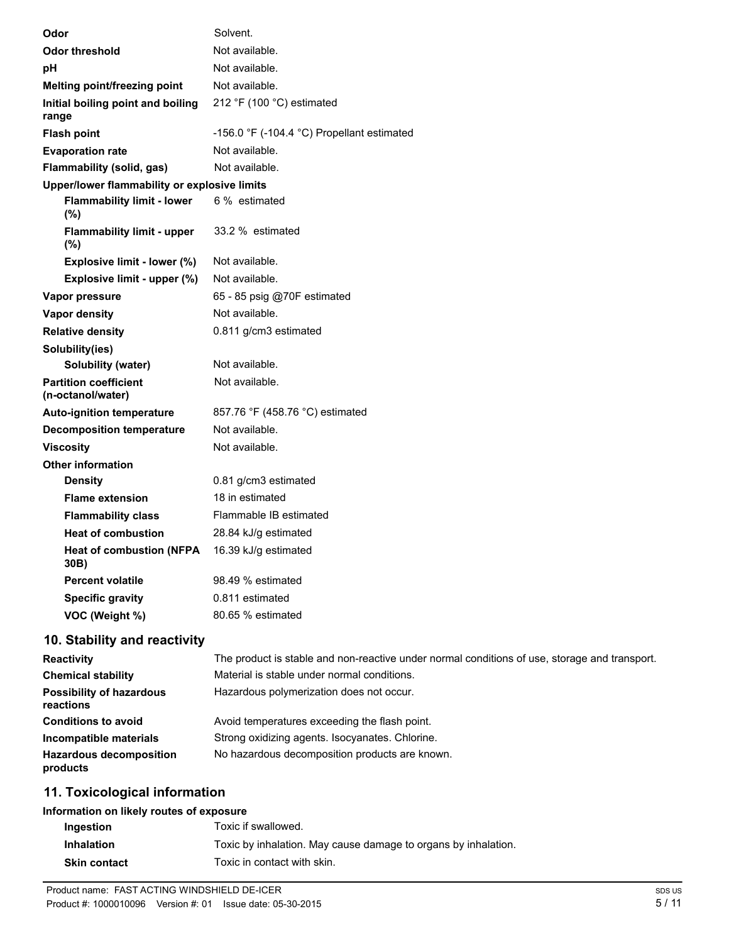| Odor                                              | Solvent.                                        |
|---------------------------------------------------|-------------------------------------------------|
| <b>Odor threshold</b>                             | Not available.                                  |
| рH                                                | Not available.                                  |
| Melting point/freezing point                      | Not available.                                  |
| Initial boiling point and boiling<br>range        | 212 °F (100 °C) estimated                       |
| <b>Flash point</b>                                | $-156.0$ °F ( $-104.4$ °C) Propellant estimated |
| <b>Evaporation rate</b>                           | Not available.                                  |
| Flammability (solid, gas)                         | Not available.                                  |
| Upper/lower flammability or explosive limits      |                                                 |
| <b>Flammability limit - lower</b><br>(%)          | 6 % estimated                                   |
| <b>Flammability limit - upper</b><br>$(\%)$       | 33.2 % estimated                                |
| Explosive limit - lower (%)                       | Not available.                                  |
| Explosive limit - upper (%)                       | Not available.                                  |
| Vapor pressure                                    | 65 - 85 psig @70F estimated                     |
| <b>Vapor density</b>                              | Not available.                                  |
| <b>Relative density</b>                           | 0.811 g/cm3 estimated                           |
| Solubility(ies)                                   |                                                 |
| Solubility (water)                                | Not available.                                  |
| <b>Partition coefficient</b><br>(n-octanol/water) | Not available.                                  |
| <b>Auto-ignition temperature</b>                  | 857.76 °F (458.76 °C) estimated                 |
| <b>Decomposition temperature</b>                  | Not available.                                  |
| <b>Viscosity</b>                                  | Not available.                                  |
| <b>Other information</b>                          |                                                 |
| <b>Density</b>                                    | 0.81 g/cm3 estimated                            |
| <b>Flame extension</b>                            | 18 in estimated                                 |
| <b>Flammability class</b>                         | Flammable IB estimated                          |
| <b>Heat of combustion</b>                         | 28.84 kJ/g estimated                            |
| <b>Heat of combustion (NFPA</b><br>30B)           | 16.39 kJ/g estimated                            |
| <b>Percent volatile</b>                           | 98.49 % estimated                               |
| <b>Specific gravity</b>                           | 0.811 estimated                                 |
| VOC (Weight %)                                    | 80.65 % estimated                               |
| $40.$ C <sub>tab</sub> ility and readivity        |                                                 |

## **10. Stability and reactivity**

| <b>Reactivity</b>                            | The product is stable and non-reactive under normal conditions of use, storage and transport. |
|----------------------------------------------|-----------------------------------------------------------------------------------------------|
| <b>Chemical stability</b>                    | Material is stable under normal conditions.                                                   |
| <b>Possibility of hazardous</b><br>reactions | Hazardous polymerization does not occur.                                                      |
| <b>Conditions to avoid</b>                   | Avoid temperatures exceeding the flash point.                                                 |
| Incompatible materials                       | Strong oxidizing agents. Isocyanates. Chlorine.                                               |
| <b>Hazardous decomposition</b><br>products   | No hazardous decomposition products are known.                                                |

## **11. Toxicological information**

## **Information on likely routes of exposure**

| Ingestion           | Toxic if swallowed.                                            |
|---------------------|----------------------------------------------------------------|
| <b>Inhalation</b>   | Toxic by inhalation. May cause damage to organs by inhalation. |
| <b>Skin contact</b> | Toxic in contact with skin.                                    |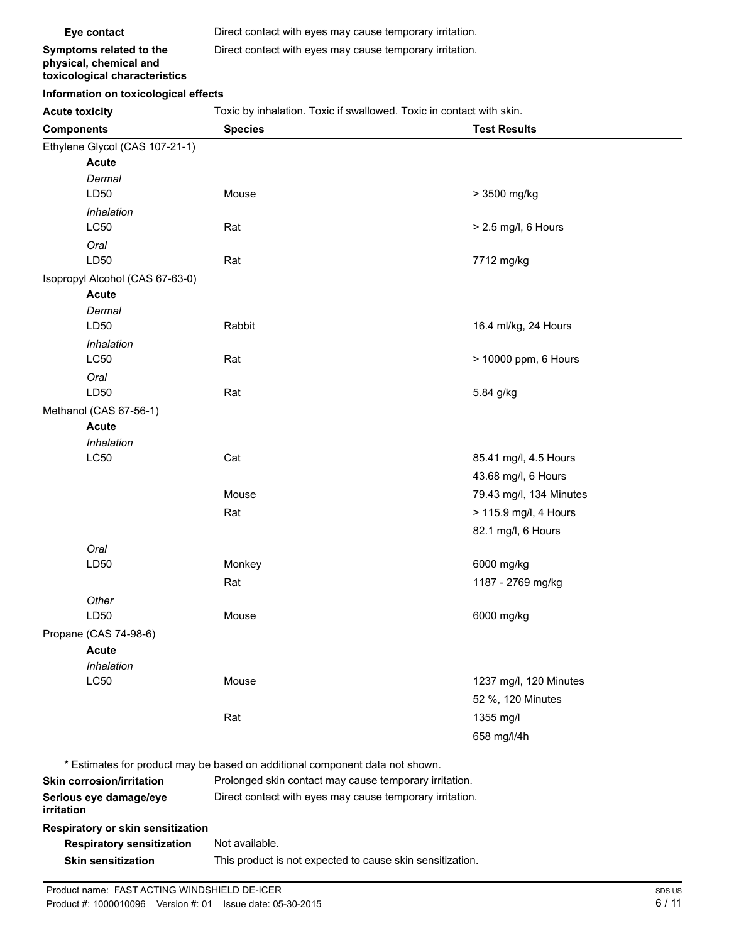**Eye contact** Direct contact with eyes may cause temporary irritation.

**Symptoms related to the physical, chemical and toxicological characteristics** Direct contact with eyes may cause temporary irritation.

#### **Information on toxicological effects**

Acute toxicity **Acute toxicity** Toxic by inhalation. Toxic if swallowed. Toxic in contact with skin.

| <b>Components</b>                 | <b>Species</b>                                                               | <b>Test Results</b>     |  |
|-----------------------------------|------------------------------------------------------------------------------|-------------------------|--|
| Ethylene Glycol (CAS 107-21-1)    |                                                                              |                         |  |
| <b>Acute</b>                      |                                                                              |                         |  |
| Dermal                            |                                                                              |                         |  |
| LD50                              | Mouse                                                                        | > 3500 mg/kg            |  |
| Inhalation                        |                                                                              |                         |  |
| LC50                              | Rat                                                                          | > 2.5 mg/l, 6 Hours     |  |
| Oral                              |                                                                              |                         |  |
| LD50                              | Rat                                                                          | 7712 mg/kg              |  |
| Isopropyl Alcohol (CAS 67-63-0)   |                                                                              |                         |  |
| <b>Acute</b>                      |                                                                              |                         |  |
| Dermal                            |                                                                              |                         |  |
| LD50                              | Rabbit                                                                       | 16.4 ml/kg, 24 Hours    |  |
| Inhalation                        |                                                                              |                         |  |
| LC50                              | Rat                                                                          | > 10000 ppm, 6 Hours    |  |
| Oral<br>LD50                      |                                                                              |                         |  |
|                                   | Rat                                                                          | 5.84 g/kg               |  |
| Methanol (CAS 67-56-1)            |                                                                              |                         |  |
| <b>Acute</b><br>Inhalation        |                                                                              |                         |  |
| <b>LC50</b>                       | Cat                                                                          | 85.41 mg/l, 4.5 Hours   |  |
|                                   |                                                                              | 43.68 mg/l, 6 Hours     |  |
|                                   |                                                                              |                         |  |
|                                   | Mouse                                                                        | 79.43 mg/l, 134 Minutes |  |
|                                   | Rat                                                                          | > 115.9 mg/l, 4 Hours   |  |
|                                   |                                                                              | 82.1 mg/l, 6 Hours      |  |
| Oral                              |                                                                              |                         |  |
| LD50                              | Monkey                                                                       | 6000 mg/kg              |  |
|                                   | Rat                                                                          | 1187 - 2769 mg/kg       |  |
| Other                             |                                                                              |                         |  |
| LD50                              | Mouse                                                                        | 6000 mg/kg              |  |
| Propane (CAS 74-98-6)             |                                                                              |                         |  |
| <b>Acute</b>                      |                                                                              |                         |  |
| Inhalation<br><b>LC50</b>         | Mouse                                                                        | 1237 mg/l, 120 Minutes  |  |
|                                   |                                                                              |                         |  |
|                                   |                                                                              | 52 %, 120 Minutes       |  |
|                                   | Rat                                                                          | 1355 mg/l               |  |
|                                   |                                                                              | 658 mg/l/4h             |  |
|                                   | * Estimates for product may be based on additional component data not shown. |                         |  |
| <b>Skin corrosion/irritation</b>  | Prolonged skin contact may cause temporary irritation.                       |                         |  |
| Serious eye damage/eye            | Direct contact with eyes may cause temporary irritation.                     |                         |  |
| irritation                        |                                                                              |                         |  |
| Respiratory or skin sensitization |                                                                              |                         |  |
| <b>Respiratory sensitization</b>  | Not available.                                                               |                         |  |
| <b>Skin sensitization</b>         | This product is not expected to cause skin sensitization.                    |                         |  |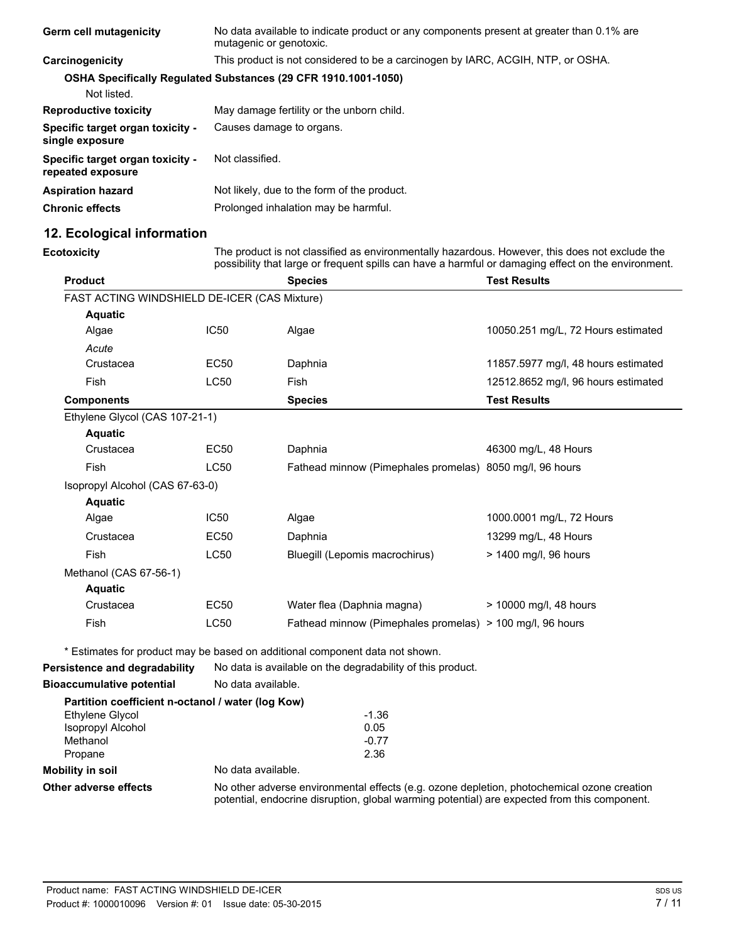| <b>Germ cell mutagenicity</b>                         | No data available to indicate product or any components present at greater than 0.1% are<br>mutagenic or genotoxic. |
|-------------------------------------------------------|---------------------------------------------------------------------------------------------------------------------|
| Carcinogenicity                                       | This product is not considered to be a carcinogen by IARC, ACGIH, NTP, or OSHA.                                     |
|                                                       | <b>OSHA Specifically Requiated Substances (29 CFR 1910.1001-1050)</b>                                               |
| Not listed.                                           |                                                                                                                     |
| <b>Reproductive toxicity</b>                          | May damage fertility or the unborn child.                                                                           |
| Specific target organ toxicity -<br>single exposure   | Causes damage to organs.                                                                                            |
| Specific target organ toxicity -<br>repeated exposure | Not classified.                                                                                                     |
| <b>Aspiration hazard</b>                              | Not likely, due to the form of the product.                                                                         |
| <b>Chronic effects</b>                                | Prolonged inhalation may be harmful.                                                                                |

## **12. Ecological information**

**Ecotoxicity** The product is not classified as environmentally hazardous. However, this does not exclude the possibility that large or frequent spills can have a harmful or damaging effect on the environment.

| <b>Product</b>                                    |                    | <b>Species</b>                                                               | <b>Test Results</b>                 |
|---------------------------------------------------|--------------------|------------------------------------------------------------------------------|-------------------------------------|
| FAST ACTING WINDSHIELD DE-ICER (CAS Mixture)      |                    |                                                                              |                                     |
| <b>Aquatic</b>                                    |                    |                                                                              |                                     |
| Algae                                             | IC50               | Algae                                                                        | 10050.251 mg/L, 72 Hours estimated  |
| Acute                                             |                    |                                                                              |                                     |
| Crustacea                                         | <b>EC50</b>        | Daphnia                                                                      | 11857.5977 mg/l, 48 hours estimated |
| Fish                                              | <b>LC50</b>        | Fish                                                                         | 12512.8652 mg/l, 96 hours estimated |
| <b>Components</b>                                 |                    | <b>Species</b>                                                               | <b>Test Results</b>                 |
| Ethylene Glycol (CAS 107-21-1)                    |                    |                                                                              |                                     |
| <b>Aquatic</b>                                    |                    |                                                                              |                                     |
| Crustacea                                         | <b>EC50</b>        | Daphnia                                                                      | 46300 mg/L, 48 Hours                |
| Fish                                              | <b>LC50</b>        | Fathead minnow (Pimephales promelas) 8050 mg/l, 96 hours                     |                                     |
| Isopropyl Alcohol (CAS 67-63-0)                   |                    |                                                                              |                                     |
| <b>Aquatic</b>                                    |                    |                                                                              |                                     |
| Algae                                             | IC50               | Algae                                                                        | 1000.0001 mg/L, 72 Hours            |
| Crustacea                                         | <b>EC50</b>        | Daphnia                                                                      | 13299 mg/L, 48 Hours                |
| Fish                                              | <b>LC50</b>        | Bluegill (Lepomis macrochirus)                                               | > 1400 mg/l, 96 hours               |
| Methanol (CAS 67-56-1)                            |                    |                                                                              |                                     |
| <b>Aquatic</b>                                    |                    |                                                                              |                                     |
| Crustacea                                         | <b>EC50</b>        | Water flea (Daphnia magna)                                                   | > 10000 mg/l, 48 hours              |
| Fish                                              | <b>LC50</b>        | Fathead minnow (Pimephales promelas) > 100 mg/l, 96 hours                    |                                     |
|                                                   |                    | * Estimates for product may be based on additional component data not shown. |                                     |
| <b>Persistence and degradability</b>              |                    | No data is available on the degradability of this product.                   |                                     |
| <b>Bioaccumulative potential</b>                  | No data available. |                                                                              |                                     |
| Partition coefficient n-octanol / water (log Kow) |                    |                                                                              |                                     |
| <b>Ethylene Glycol</b>                            |                    | $-1.36$                                                                      |                                     |
| Isopropyl Alcohol                                 |                    | 0.05                                                                         |                                     |
| Methanol                                          |                    | $-0.77$                                                                      |                                     |

## Methanol -0.77<br>Propane 2.36 Propane **Mobility in soil** No data available.

**Other adverse effects** No other adverse environmental effects (e.g. ozone depletion, photochemical ozone creation potential, endocrine disruption, global warming potential) are expected from this component.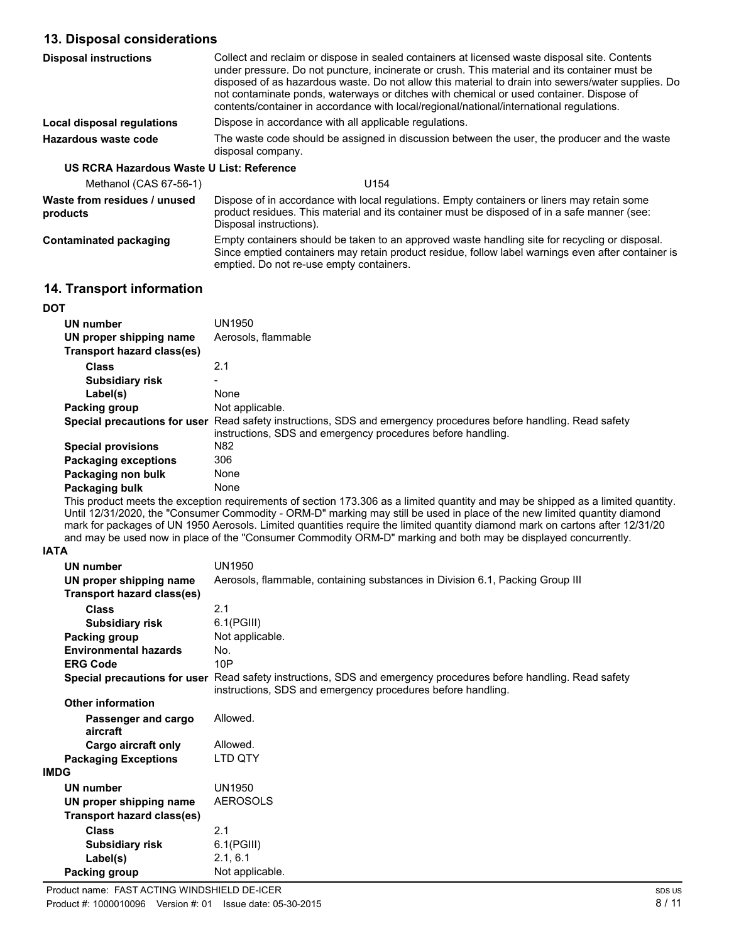## **13. Disposal considerations**

| <b>Disposal instructions</b>              | Collect and reclaim or dispose in sealed containers at licensed waste disposal site. Contents<br>under pressure. Do not puncture, incinerate or crush. This material and its container must be<br>disposed of as hazardous waste. Do not allow this material to drain into sewers/water supplies. Do<br>not contaminate ponds, waterways or ditches with chemical or used container. Dispose of<br>contents/container in accordance with local/regional/national/international regulations. |  |  |
|-------------------------------------------|---------------------------------------------------------------------------------------------------------------------------------------------------------------------------------------------------------------------------------------------------------------------------------------------------------------------------------------------------------------------------------------------------------------------------------------------------------------------------------------------|--|--|
| Local disposal regulations                | Dispose in accordance with all applicable regulations.                                                                                                                                                                                                                                                                                                                                                                                                                                      |  |  |
| Hazardous waste code                      | The waste code should be assigned in discussion between the user, the producer and the waste<br>disposal company.                                                                                                                                                                                                                                                                                                                                                                           |  |  |
| US RCRA Hazardous Waste U List: Reference |                                                                                                                                                                                                                                                                                                                                                                                                                                                                                             |  |  |
| Methanol (CAS 67-56-1)                    | U154                                                                                                                                                                                                                                                                                                                                                                                                                                                                                        |  |  |
| Waste from residues / unused<br>products  | Dispose of in accordance with local regulations. Empty containers or liners may retain some<br>product residues. This material and its container must be disposed of in a safe manner (see:<br>Disposal instructions).                                                                                                                                                                                                                                                                      |  |  |
| <b>Contaminated packaging</b>             | Empty containers should be taken to an approved waste handling site for recycling or disposal.<br>Since emptied containers may retain product residue, follow label warnings even after container is<br>emptied. Do not re-use empty containers.                                                                                                                                                                                                                                            |  |  |

## **14. Transport information**

| <b>DOT</b>                   |                                                                                                                                                    |
|------------------------------|----------------------------------------------------------------------------------------------------------------------------------------------------|
| UN number                    | UN1950                                                                                                                                             |
| UN proper shipping name      | Aerosols, flammable                                                                                                                                |
| Transport hazard class(es)   |                                                                                                                                                    |
| <b>Class</b>                 | 2.1                                                                                                                                                |
| <b>Subsidiary risk</b>       |                                                                                                                                                    |
| Label(s)                     | None                                                                                                                                               |
| Packing group                | Not applicable.                                                                                                                                    |
| Special precautions for user | Read safety instructions, SDS and emergency procedures before handling. Read safety<br>instructions, SDS and emergency procedures before handling. |
| <b>Special provisions</b>    | N82                                                                                                                                                |
| <b>Packaging exceptions</b>  | 306                                                                                                                                                |
| Packaging non bulk           | None                                                                                                                                               |
| Packaging bulk               | None                                                                                                                                               |

This product meets the exception requirements of section 173.306 as a limited quantity and may be shipped as a limited quantity. Until 12/31/2020, the "Consumer Commodity - ORM-D" marking may still be used in place of the new limited quantity diamond mark for packages of UN 1950 Aerosols. Limited quantities require the limited quantity diamond mark on cartons after 12/31/20 and may be used now in place of the "Consumer Commodity ORM-D" marking and both may be displayed concurrently.

### **IATA**

| UN number                       | <b>UN1950</b>                                                                                                                                      |
|---------------------------------|----------------------------------------------------------------------------------------------------------------------------------------------------|
| UN proper shipping name         | Aerosols, flammable, containing substances in Division 6.1, Packing Group III                                                                      |
| Transport hazard class(es)      |                                                                                                                                                    |
| <b>Class</b>                    | 2.1                                                                                                                                                |
| <b>Subsidiary risk</b>          | $6.1$ (PGIII)                                                                                                                                      |
| Packing group                   | Not applicable.                                                                                                                                    |
| <b>Environmental hazards</b>    | No.                                                                                                                                                |
| <b>ERG Code</b>                 | 10P                                                                                                                                                |
| Special precautions for user    | Read safety instructions, SDS and emergency procedures before handling. Read safety<br>instructions, SDS and emergency procedures before handling. |
| <b>Other information</b>        |                                                                                                                                                    |
| Passenger and cargo<br>aircraft | Allowed.                                                                                                                                           |
| Cargo aircraft only             | Allowed.                                                                                                                                           |
| <b>Packaging Exceptions</b>     | LTD QTY                                                                                                                                            |
| <b>IMDG</b>                     |                                                                                                                                                    |
| UN number                       | UN1950                                                                                                                                             |
| UN proper shipping name         | <b>AEROSOLS</b>                                                                                                                                    |
| Transport hazard class(es)      |                                                                                                                                                    |
| <b>Class</b>                    | 2.1                                                                                                                                                |
| <b>Subsidiary risk</b>          | $6.1$ (PGIII)                                                                                                                                      |
| Label(s)                        | 2.1, 6.1                                                                                                                                           |
| Packing group                   | Not applicable.                                                                                                                                    |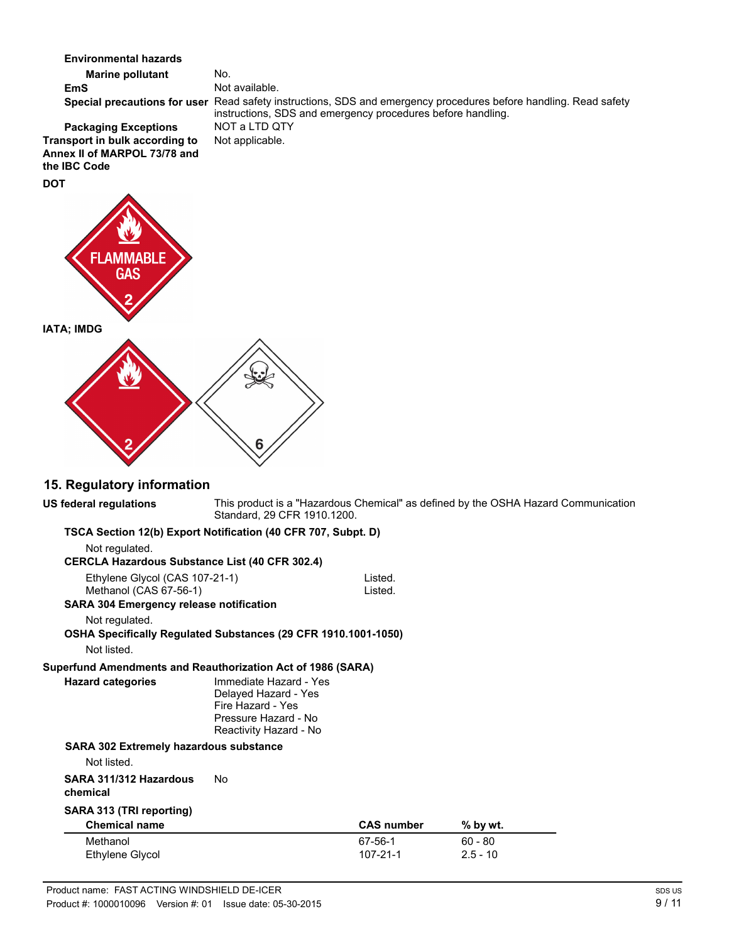**Marine pollutant** No. **Environmental hazards EmS** Not available. Special precautions for user Read safety instructions, SDS and emergency procedures before handling. Read safety instructions, SDS and emergency procedures before handling. **Packaging Exceptions** NOT a LTD QT<br>**nsport in bulk according to** Not applicable. **Transport in bulk according to** 

## **Annex II of MARPOL 73/78 and the IBC Code DOT**



## **15. Regulatory information**

| TSCA Section 12(b) Export Notification (40 CFR 707, Subpt. D)<br>Not regulated.<br><b>CERCLA Hazardous Substance List (40 CFR 302.4)</b><br>Ethylene Glycol (CAS 107-21-1)<br>Listed.<br>Methanol (CAS 67-56-1)<br>Listed.<br><b>SARA 304 Emergency release notification</b><br>Not regulated.<br>OSHA Specifically Regulated Substances (29 CFR 1910.1001-1050)<br>Not listed.<br>Superfund Amendments and Reauthorization Act of 1986 (SARA)<br>Immediate Hazard - Yes<br><b>Hazard categories</b><br>Delayed Hazard - Yes<br>Fire Hazard - Yes<br>Pressure Hazard - No<br>Reactivity Hazard - No<br><b>SARA 302 Extremely hazardous substance</b><br>Not listed.<br><b>No</b><br>SARA 311/312 Hazardous<br>chemical<br>SARA 313 (TRI reporting)<br><b>Chemical name</b><br><b>CAS number</b><br>$%$ by wt.<br>Methanol<br>$60 - 80$<br>67-56-1<br>$107 - 21 - 1$<br>$2.5 - 10$<br>Ethylene Glycol | US federal regulations | Standard, 29 CFR 1910.1200. | This product is a "Hazardous Chemical" as defined by the OSHA Hazard Communication |  |
|------------------------------------------------------------------------------------------------------------------------------------------------------------------------------------------------------------------------------------------------------------------------------------------------------------------------------------------------------------------------------------------------------------------------------------------------------------------------------------------------------------------------------------------------------------------------------------------------------------------------------------------------------------------------------------------------------------------------------------------------------------------------------------------------------------------------------------------------------------------------------------------------------|------------------------|-----------------------------|------------------------------------------------------------------------------------|--|
|                                                                                                                                                                                                                                                                                                                                                                                                                                                                                                                                                                                                                                                                                                                                                                                                                                                                                                      |                        |                             |                                                                                    |  |
|                                                                                                                                                                                                                                                                                                                                                                                                                                                                                                                                                                                                                                                                                                                                                                                                                                                                                                      |                        |                             |                                                                                    |  |
|                                                                                                                                                                                                                                                                                                                                                                                                                                                                                                                                                                                                                                                                                                                                                                                                                                                                                                      |                        |                             |                                                                                    |  |
|                                                                                                                                                                                                                                                                                                                                                                                                                                                                                                                                                                                                                                                                                                                                                                                                                                                                                                      |                        |                             |                                                                                    |  |
|                                                                                                                                                                                                                                                                                                                                                                                                                                                                                                                                                                                                                                                                                                                                                                                                                                                                                                      |                        |                             |                                                                                    |  |
|                                                                                                                                                                                                                                                                                                                                                                                                                                                                                                                                                                                                                                                                                                                                                                                                                                                                                                      |                        |                             |                                                                                    |  |
|                                                                                                                                                                                                                                                                                                                                                                                                                                                                                                                                                                                                                                                                                                                                                                                                                                                                                                      |                        |                             |                                                                                    |  |
|                                                                                                                                                                                                                                                                                                                                                                                                                                                                                                                                                                                                                                                                                                                                                                                                                                                                                                      |                        |                             |                                                                                    |  |
|                                                                                                                                                                                                                                                                                                                                                                                                                                                                                                                                                                                                                                                                                                                                                                                                                                                                                                      |                        |                             |                                                                                    |  |
|                                                                                                                                                                                                                                                                                                                                                                                                                                                                                                                                                                                                                                                                                                                                                                                                                                                                                                      |                        |                             |                                                                                    |  |
|                                                                                                                                                                                                                                                                                                                                                                                                                                                                                                                                                                                                                                                                                                                                                                                                                                                                                                      |                        |                             |                                                                                    |  |
|                                                                                                                                                                                                                                                                                                                                                                                                                                                                                                                                                                                                                                                                                                                                                                                                                                                                                                      |                        |                             |                                                                                    |  |
|                                                                                                                                                                                                                                                                                                                                                                                                                                                                                                                                                                                                                                                                                                                                                                                                                                                                                                      |                        |                             |                                                                                    |  |
|                                                                                                                                                                                                                                                                                                                                                                                                                                                                                                                                                                                                                                                                                                                                                                                                                                                                                                      |                        |                             |                                                                                    |  |
|                                                                                                                                                                                                                                                                                                                                                                                                                                                                                                                                                                                                                                                                                                                                                                                                                                                                                                      |                        |                             |                                                                                    |  |
|                                                                                                                                                                                                                                                                                                                                                                                                                                                                                                                                                                                                                                                                                                                                                                                                                                                                                                      |                        |                             |                                                                                    |  |
|                                                                                                                                                                                                                                                                                                                                                                                                                                                                                                                                                                                                                                                                                                                                                                                                                                                                                                      |                        |                             |                                                                                    |  |
|                                                                                                                                                                                                                                                                                                                                                                                                                                                                                                                                                                                                                                                                                                                                                                                                                                                                                                      |                        |                             |                                                                                    |  |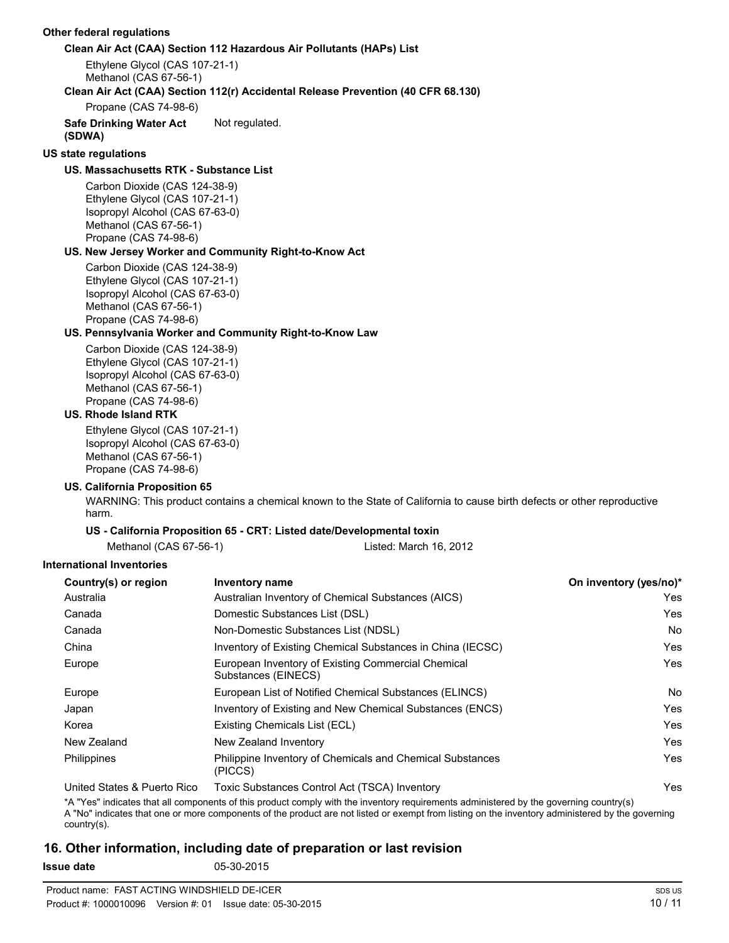#### **Other federal regulations**

#### **Clean Air Act (CAA) Section 112 Hazardous Air Pollutants (HAPs) List**

Ethylene Glycol (CAS 107-21-1) Methanol (CAS 67-56-1)

#### **Clean Air Act (CAA) Section 112(r) Accidental Release Prevention (40 CFR 68.130)**

Propane (CAS 74-98-6)

#### **Safe Drinking Water Act** Not regulated.

**(SDWA)**

## **US state regulations**

## **US. Massachusetts RTK - Substance List**

Carbon Dioxide (CAS 124-38-9) Ethylene Glycol (CAS 107-21-1) Isopropyl Alcohol (CAS 67-63-0) Methanol (CAS 67-56-1) Propane (CAS 74-98-6)

#### **US. New Jersey Worker and Community Right-to-Know Act**

Carbon Dioxide (CAS 124-38-9) Ethylene Glycol (CAS 107-21-1) Isopropyl Alcohol (CAS 67-63-0) Methanol (CAS 67-56-1) Propane (CAS 74-98-6)

#### **US. Pennsylvania Worker and Community Right-to-Know Law**

Carbon Dioxide (CAS 124-38-9) Ethylene Glycol (CAS 107-21-1) Isopropyl Alcohol (CAS 67-63-0) Methanol (CAS 67-56-1) Propane (CAS 74-98-6)

## **US. Rhode Island RTK**

Ethylene Glycol (CAS 107-21-1) Isopropyl Alcohol (CAS 67-63-0) Methanol (CAS 67-56-1) Propane (CAS 74-98-6)

#### **US. California Proposition 65**

WARNING: This product contains a chemical known to the State of California to cause birth defects or other reproductive harm.

#### **US - California Proposition 65 - CRT: Listed date/Developmental toxin**

Methanol (CAS 67-56-1) Listed: March 16, 2012

#### **International Inventories**

| Country(s) or region         | <b>Inventory name</b>                                                     | On inventory (yes/no)*               |
|------------------------------|---------------------------------------------------------------------------|--------------------------------------|
| Australia                    | Australian Inventory of Chemical Substances (AICS)                        | Yes.                                 |
| Canada                       | Domestic Substances List (DSL)                                            | Yes                                  |
| Canada                       | Non-Domestic Substances List (NDSL)                                       | No.                                  |
| China                        | Inventory of Existing Chemical Substances in China (IECSC)                | Yes                                  |
| Europe                       | European Inventory of Existing Commercial Chemical<br>Substances (EINECS) | Yes                                  |
| Europe                       | European List of Notified Chemical Substances (ELINCS)                    | No.                                  |
| Japan                        | Inventory of Existing and New Chemical Substances (ENCS)                  | Yes                                  |
| Korea                        | Existing Chemicals List (ECL)                                             | Yes                                  |
| New Zealand                  | New Zealand Inventory                                                     | Yes                                  |
| Philippines                  | Philippine Inventory of Chemicals and Chemical Substances<br>(PICCS)      | Yes                                  |
| United Ctates, 8 Duarte Dies | $T$ ovio Cubetanose Control Aet (TCCA) Inventoru                          | $\mathcal{L}_{\mathbf{a}\mathbf{a}}$ |

United States & Puerto Rico Toxic Substances Control Act (TSCA) Inventory Yes

\*A "Yes" indicates that all components of this product comply with the inventory requirements administered by the governing country(s)

A "No" indicates that one or more components of the product are not listed or exempt from listing on the inventory administered by the governing country(s).

### **16. Other information, including date of preparation or last revision**

**Issue date** 05-30-2015